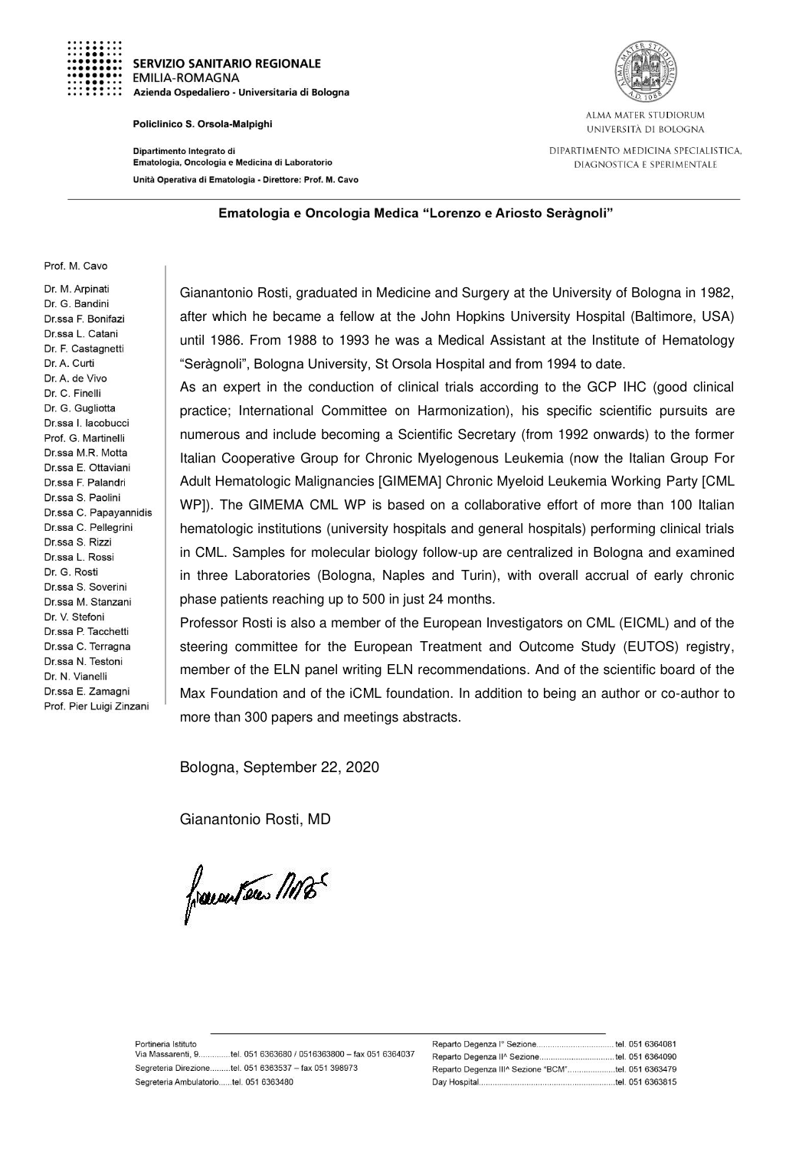

**SERVIZIO SANITARIO REGIONALE EMILIA-ROMAGNA** Azienda Ospedaliero - Universitaria di Bologna

## Policlinico S. Orsola-Malpighi

Dipartimento Integrato di Ematologia, Oncologia e Medicina di Laboratorio Unità Operativa di Ematologia - Direttore: Prof. M. Cavo



ALMA MATER STUDIORUM UNIVERSITÀ DI BOLOGNA

DIPARTIMENTO MEDICINA SPECIALISTICA. DIAGNOSTICA E SPERIMENTALE

## Ematologia e Oncologia Medica "Lorenzo e Ariosto Seràgnoli"

## Prof. M. Cavo

Dr. M. Arpinati Dr. G. Bandini Dr.ssa F. Bonifazi Dr.ssa L. Catani Dr. F. Castagnetti Dr. A. Curti Dr. A. de Vivo Dr. C. Finelli Dr. G. Gualiotta Dr ssa Llacobucci Prof. G. Martinelli Dr ssa M R Motta Dr.ssa E. Ottaviani Dr.ssa F. Palandri Dr.ssa S. Paolini Dr.ssa C. Papayannidis Dr.ssa C. Pellegrini Dr.ssa S. Rizzi Dr.ssa L. Rossi Dr. G. Rosti Dr.ssa S. Soverini Dr.ssa M. Stanzani Dr. V. Stefoni Dr.ssa P. Tacchetti Dr.ssa C. Terragna Dr.ssa N. Testoni Dr. N. Vianelli Dr.ssa E. Zamagni Prof. Pier Luigi Zinzani

Gianantonio Rosti, graduated in Medicine and Surgery at the University of Bologna in 1982, after which he became a fellow at the John Hopkins University Hospital (Baltimore, USA) until 1986. From 1988 to 1993 he was a Medical Assistant at the Institute of Hematology "Seràgnoli", Bologna University, St Orsola Hospital and from 1994 to date.

As an expert in the conduction of clinical trials according to the GCP IHC (good clinical practice; International Committee on Harmonization), his specific scientific pursuits are numerous and include becoming a Scientific Secretary (from 1992 onwards) to the former Italian Cooperative Group for Chronic Myelogenous Leukemia (now the Italian Group For Adult Hematologic Malignancies [GIMEMA] Chronic Myeloid Leukemia Working Party [CML WP]). The GIMEMA CML WP is based on a collaborative effort of more than 100 Italian hematologic institutions (university hospitals and general hospitals) performing clinical trials in CML. Samples for molecular biology follow-up are centralized in Bologna and examined in three Laboratories (Bologna, Naples and Turin), with overall accrual of early chronic phase patients reaching up to 500 in just 24 months.

Professor Rosti is also a member of the European Investigators on CML (EICML) and of the steering committee for the European Treatment and Outcome Study (EUTOS) registry, member of the ELN panel writing ELN recommendations. And of the scientific board of the Max Foundation and of the iCML foundation. In addition to being an author or co-author to more than 300 papers and meetings abstracts.

Bologna, September 22, 2020

Gianantonio Rosti, MD

frauenten MB

| Reparto Degenza lº Sezione         |  | tel. 051 6364081 |
|------------------------------------|--|------------------|
| Reparto Degenza II^ Sezione        |  | tel. 051 6364090 |
| Reparto Degenza III^ Sezione "BCM" |  | tel. 051 6363479 |
| Day Hospital.                      |  | tel. 051 6363815 |